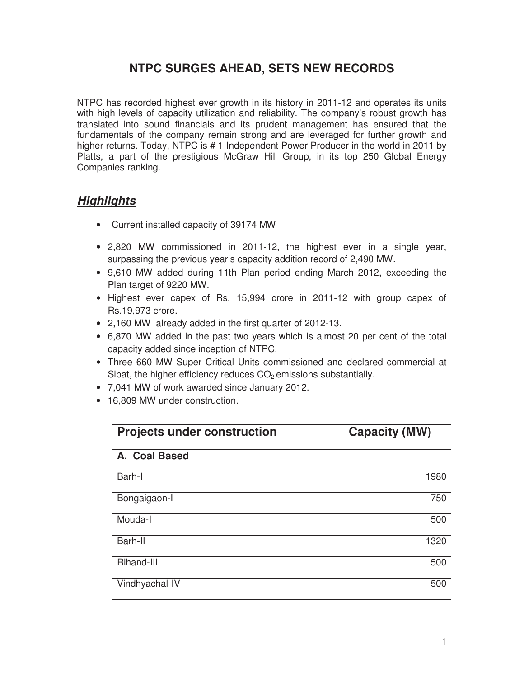# **NTPC SURGES AHEAD, SETS NEW RECORDS**

NTPC has recorded highest ever growth in its history in 2011-12 and operates its units with high levels of capacity utilization and reliability. The company's robust growth has translated into sound financials and its prudent management has ensured that the fundamentals of the company remain strong and are leveraged for further growth and higher returns. Today, NTPC is # 1 Independent Power Producer in the world in 2011 by Platts, a part of the prestigious McGraw Hill Group, in its top 250 Global Energy Companies ranking.

## **Highlights**

- Current installed capacity of 39174 MW
- 2,820 MW commissioned in 2011-12, the highest ever in a single year, surpassing the previous year's capacity addition record of 2,490 MW.
- 9,610 MW added during 11th Plan period ending March 2012, exceeding the Plan target of 9220 MW.
- Highest ever capex of Rs. 15,994 crore in 2011-12 with group capex of Rs.19,973 crore.
- 2,160 MW already added in the first quarter of 2012-13.
- 6,870 MW added in the past two years which is almost 20 per cent of the total capacity added since inception of NTPC.
- Three 660 MW Super Critical Units commissioned and declared commercial at Sipat, the higher efficiency reduces  $CO<sub>2</sub>$  emissions substantially.
- 7,041 MW of work awarded since January 2012.
- 16,809 MW under construction.

| <b>Projects under construction</b> | <b>Capacity (MW)</b> |  |
|------------------------------------|----------------------|--|
| A. Coal Based                      |                      |  |
| Barh-I                             | 1980                 |  |
| Bongaigaon-I                       | 750                  |  |
| Mouda-I                            | 500                  |  |
| Barh-II                            | 1320                 |  |
| Rihand-III                         | 500                  |  |
| Vindhyachal-IV                     | 500                  |  |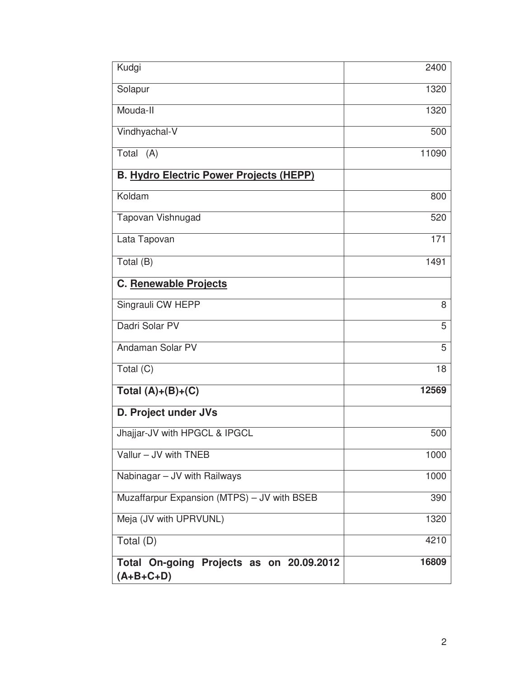| Kudgi                                                   | 2400  |
|---------------------------------------------------------|-------|
| Solapur                                                 | 1320  |
| Mouda-II                                                | 1320  |
| Vindhyachal-V                                           | 500   |
| Total<br>(A)                                            | 11090 |
| <b>B. Hydro Electric Power Projects (HEPP)</b>          |       |
| Koldam                                                  | 800   |
| Tapovan Vishnugad                                       | 520   |
| Lata Tapovan                                            | 171   |
| Total (B)                                               | 1491  |
| <b>C. Renewable Projects</b>                            |       |
| Singrauli CW HEPP                                       | 8     |
| Dadri Solar PV                                          | 5     |
| Andaman Solar PV                                        | 5     |
| Total (C)                                               | 18    |
| Total $(A)+(B)+(C)$                                     | 12569 |
| D. Project under JVs                                    |       |
| Jhajjar-JV with HPGCL & IPGCL                           | 500   |
| Vallur - JV with TNEB                                   | 1000  |
| Nabinagar - JV with Railways                            | 1000  |
| Muzaffarpur Expansion (MTPS) - JV with BSEB             | 390   |
| Meja (JV with UPRVUNL)                                  | 1320  |
| Total (D)                                               | 4210  |
| Total On-going Projects as on 20.09.2012<br>$(A+B+C+D)$ | 16809 |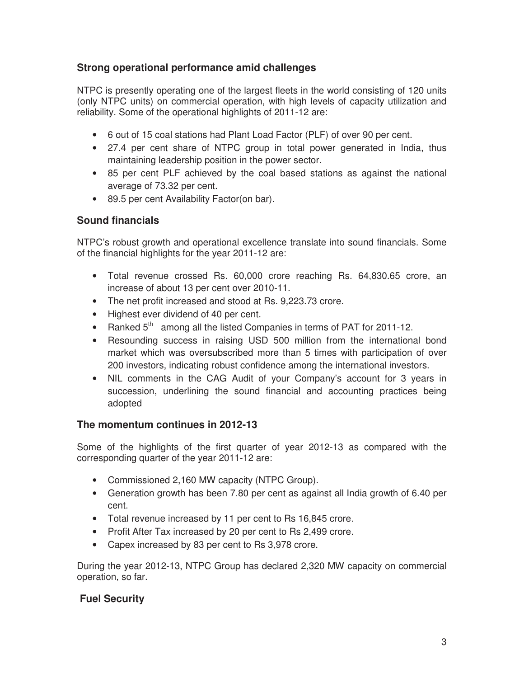### **Strong operational performance amid challenges**

NTPC is presently operating one of the largest fleets in the world consisting of 120 units (only NTPC units) on commercial operation, with high levels of capacity utilization and reliability. Some of the operational highlights of 2011-12 are:

- 6 out of 15 coal stations had Plant Load Factor (PLF) of over 90 per cent.
- 27.4 per cent share of NTPC group in total power generated in India, thus maintaining leadership position in the power sector.
- 85 per cent PLF achieved by the coal based stations as against the national average of 73.32 per cent.
- 89.5 per cent Availability Factor(on bar).

### **Sound financials**

NTPC's robust growth and operational excellence translate into sound financials. Some of the financial highlights for the year 2011-12 are:

- Total revenue crossed Rs. 60,000 crore reaching Rs. 64,830.65 crore, an increase of about 13 per cent over 2010-11.
- The net profit increased and stood at Rs. 9,223.73 crore.
- Highest ever dividend of 40 per cent.
- Ranked  $5<sup>th</sup>$  among all the listed Companies in terms of PAT for 2011-12.
- Resounding success in raising USD 500 million from the international bond market which was oversubscribed more than 5 times with participation of over 200 investors, indicating robust confidence among the international investors.
- NIL comments in the CAG Audit of your Company's account for 3 years in succession, underlining the sound financial and accounting practices being adopted

#### **The momentum continues in 2012-13**

Some of the highlights of the first quarter of year 2012-13 as compared with the corresponding quarter of the year 2011-12 are:

- Commissioned 2,160 MW capacity (NTPC Group).
- Generation growth has been 7.80 per cent as against all India growth of 6.40 per cent.
- Total revenue increased by 11 per cent to Rs 16,845 crore.
- Profit After Tax increased by 20 per cent to Rs 2,499 crore.
- Capex increased by 83 per cent to Rs 3,978 crore.

During the year 2012-13, NTPC Group has declared 2,320 MW capacity on commercial operation, so far.

### **Fuel Security**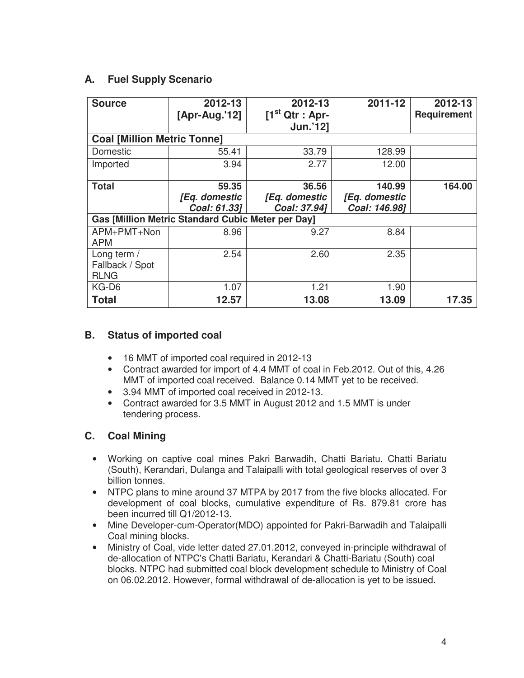### **A. Fuel Supply Scenario**

| <b>Source</b>                                            | 2012-13<br>[Apr-Aug.'12] | 2012-13<br>$[1st Qtr : Apr-$ | 2011-12       | 2012-13<br><b>Requirement</b> |  |  |
|----------------------------------------------------------|--------------------------|------------------------------|---------------|-------------------------------|--|--|
|                                                          |                          | <b>Jun.'121</b>              |               |                               |  |  |
| <b>Coal [Million Metric Tonne]</b>                       |                          |                              |               |                               |  |  |
| Domestic                                                 | 55.41                    | 33.79                        | 128.99        |                               |  |  |
| Imported                                                 | 3.94                     | 2.77                         | 12.00         |                               |  |  |
| <b>Total</b>                                             | 59.35                    | 36.56                        | 140.99        | 164.00                        |  |  |
|                                                          | [Eq. domestic            | [Eq. domestic                | [Eq. domestic |                               |  |  |
|                                                          | Coal: 61.331             | Coal: 37.94]                 | Coal: 146.98] |                               |  |  |
| <b>Gas [Million Metric Standard Cubic Meter per Day]</b> |                          |                              |               |                               |  |  |
| APM+PMT+Non                                              | 8.96                     | 9.27                         | 8.84          |                               |  |  |
| <b>APM</b>                                               |                          |                              |               |                               |  |  |
| Long term /                                              | 2.54                     | 2.60                         | 2.35          |                               |  |  |
| Fallback / Spot                                          |                          |                              |               |                               |  |  |
| <b>RLNG</b>                                              |                          |                              |               |                               |  |  |
| KG-D6                                                    | 1.07                     | 1.21                         | 1.90          |                               |  |  |
| <b>Total</b>                                             | 12.57                    | 13.08                        | 13.09         | 17.35                         |  |  |

### **B. Status of imported coal**

- 16 MMT of imported coal required in 2012-13
- Contract awarded for import of 4.4 MMT of coal in Feb.2012. Out of this, 4.26 MMT of imported coal received. Balance 0.14 MMT yet to be received.
- 3.94 MMT of imported coal received in 2012-13.
- Contract awarded for 3.5 MMT in August 2012 and 1.5 MMT is under tendering process.

### **C. Coal Mining**

- Working on captive coal mines Pakri Barwadih, Chatti Bariatu, Chatti Bariatu (South), Kerandari, Dulanga and Talaipalli with total geological reserves of over 3 billion tonnes.
- NTPC plans to mine around 37 MTPA by 2017 from the five blocks allocated. For development of coal blocks, cumulative expenditure of Rs. 879.81 crore has been incurred till Q1/2012-13.
- Mine Developer-cum-Operator(MDO) appointed for Pakri-Barwadih and Talaipalli Coal mining blocks.
- Ministry of Coal, vide letter dated 27.01.2012, conveyed in-principle withdrawal of de-allocation of NTPC's Chatti Bariatu, Kerandari & Chatti-Bariatu (South) coal blocks. NTPC had submitted coal block development schedule to Ministry of Coal on 06.02.2012. However, formal withdrawal of de-allocation is yet to be issued.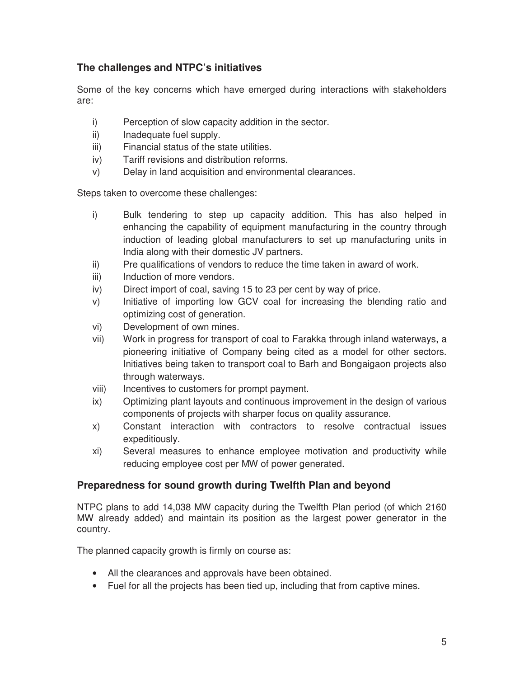### **The challenges and NTPC's initiatives**

Some of the key concerns which have emerged during interactions with stakeholders are:

- i) Perception of slow capacity addition in the sector.
- ii) Inadequate fuel supply.
- iii) Financial status of the state utilities.
- iv) Tariff revisions and distribution reforms.
- v) Delay in land acquisition and environmental clearances.

Steps taken to overcome these challenges:

- i) Bulk tendering to step up capacity addition. This has also helped in enhancing the capability of equipment manufacturing in the country through induction of leading global manufacturers to set up manufacturing units in India along with their domestic JV partners.
- ii) Pre qualifications of vendors to reduce the time taken in award of work.
- iii) Induction of more vendors.
- iv) Direct import of coal, saving 15 to 23 per cent by way of price.
- v) Initiative of importing low GCV coal for increasing the blending ratio and optimizing cost of generation.
- vi) Development of own mines.
- vii) Work in progress for transport of coal to Farakka through inland waterways, a pioneering initiative of Company being cited as a model for other sectors. Initiatives being taken to transport coal to Barh and Bongaigaon projects also through waterways.
- viii) Incentives to customers for prompt payment.
- ix) Optimizing plant layouts and continuous improvement in the design of various components of projects with sharper focus on quality assurance.
- x) Constant interaction with contractors to resolve contractual issues expeditiously.
- xi) Several measures to enhance employee motivation and productivity while reducing employee cost per MW of power generated.

### **Preparedness for sound growth during Twelfth Plan and beyond**

NTPC plans to add 14,038 MW capacity during the Twelfth Plan period (of which 2160 MW already added) and maintain its position as the largest power generator in the country.

The planned capacity growth is firmly on course as:

- All the clearances and approvals have been obtained.
- Fuel for all the projects has been tied up, including that from captive mines.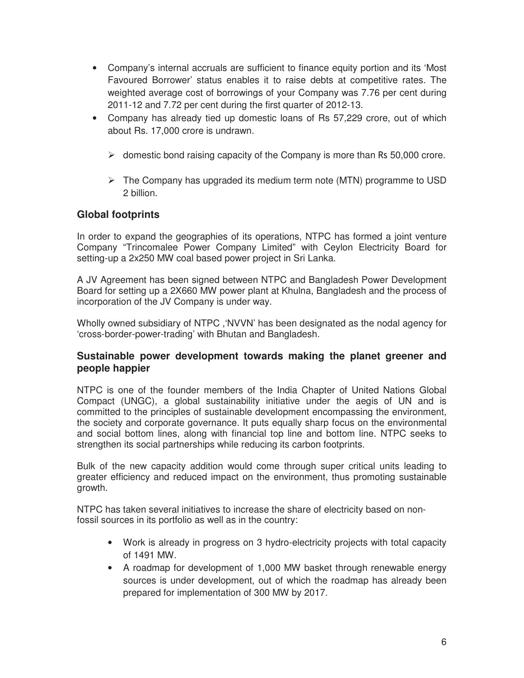- Company's internal accruals are sufficient to finance equity portion and its 'Most Favoured Borrower' status enables it to raise debts at competitive rates. The weighted average cost of borrowings of your Company was 7.76 per cent during 2011-12 and 7.72 per cent during the first quarter of 2012-13.
- Company has already tied up domestic loans of Rs 57,229 crore, out of which about Rs. 17,000 crore is undrawn.
	- $\triangleright$  domestic bond raising capacity of the Company is more than Rs 50,000 crore.
	- $\triangleright$  The Company has upgraded its medium term note (MTN) programme to USD 2 billion.

#### **Global footprints**

In order to expand the geographies of its operations, NTPC has formed a joint venture Company "Trincomalee Power Company Limited" with Ceylon Electricity Board for setting-up a 2x250 MW coal based power project in Sri Lanka.

A JV Agreement has been signed between NTPC and Bangladesh Power Development Board for setting up a 2X660 MW power plant at Khulna, Bangladesh and the process of incorporation of the JV Company is under way.

Wholly owned subsidiary of NTPC ,'NVVN' has been designated as the nodal agency for 'cross-border-power-trading' with Bhutan and Bangladesh.

#### **Sustainable power development towards making the planet greener and people happier**

NTPC is one of the founder members of the India Chapter of United Nations Global Compact (UNGC), a global sustainability initiative under the aegis of UN and is committed to the principles of sustainable development encompassing the environment, the society and corporate governance. It puts equally sharp focus on the environmental and social bottom lines, along with financial top line and bottom line. NTPC seeks to strengthen its social partnerships while reducing its carbon footprints.

Bulk of the new capacity addition would come through super critical units leading to greater efficiency and reduced impact on the environment, thus promoting sustainable growth.

NTPC has taken several initiatives to increase the share of electricity based on nonfossil sources in its portfolio as well as in the country:

- Work is already in progress on 3 hydro-electricity projects with total capacity of 1491 MW.
- A roadmap for development of 1,000 MW basket through renewable energy sources is under development, out of which the roadmap has already been prepared for implementation of 300 MW by 2017.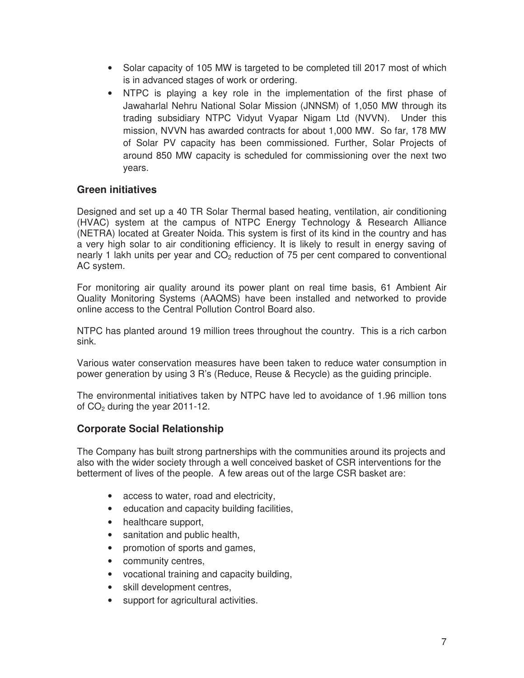- Solar capacity of 105 MW is targeted to be completed till 2017 most of which is in advanced stages of work or ordering.
- NTPC is playing a key role in the implementation of the first phase of Jawaharlal Nehru National Solar Mission (JNNSM) of 1,050 MW through its trading subsidiary NTPC Vidyut Vyapar Nigam Ltd (NVVN). Under this mission, NVVN has awarded contracts for about 1,000 MW. So far, 178 MW of Solar PV capacity has been commissioned. Further, Solar Projects of around 850 MW capacity is scheduled for commissioning over the next two years.

#### **Green initiatives**

Designed and set up a 40 TR Solar Thermal based heating, ventilation, air conditioning (HVAC) system at the campus of NTPC Energy Technology & Research Alliance (NETRA) located at Greater Noida. This system is first of its kind in the country and has a very high solar to air conditioning efficiency. It is likely to result in energy saving of nearly 1 lakh units per year and  $CO<sub>2</sub>$  reduction of 75 per cent compared to conventional AC system.

For monitoring air quality around its power plant on real time basis, 61 Ambient Air Quality Monitoring Systems (AAQMS) have been installed and networked to provide online access to the Central Pollution Control Board also.

NTPC has planted around 19 million trees throughout the country. This is a rich carbon sink.

Various water conservation measures have been taken to reduce water consumption in power generation by using 3 R's (Reduce, Reuse & Recycle) as the guiding principle.

The environmental initiatives taken by NTPC have led to avoidance of 1.96 million tons of  $CO<sub>2</sub>$  during the year 2011-12.

#### **Corporate Social Relationship**

The Company has built strong partnerships with the communities around its projects and also with the wider society through a well conceived basket of CSR interventions for the betterment of lives of the people. A few areas out of the large CSR basket are:

- access to water, road and electricity,
- education and capacity building facilities,
- healthcare support,
- sanitation and public health,
- promotion of sports and games,
- community centres,
- vocational training and capacity building,
- skill development centres,
- support for agricultural activities.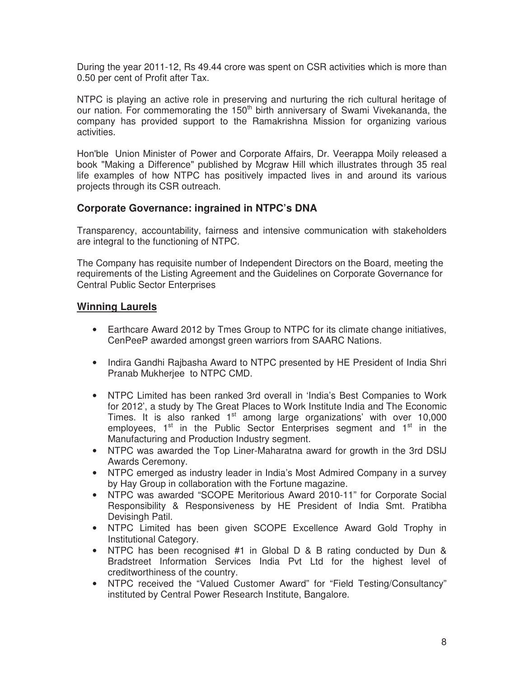During the year 2011-12, Rs 49.44 crore was spent on CSR activities which is more than 0.50 per cent of Profit after Tax.

NTPC is playing an active role in preserving and nurturing the rich cultural heritage of our nation. For commemorating the 150<sup>th</sup> birth anniversary of Swami Vivekananda, the company has provided support to the Ramakrishna Mission for organizing various activities.

Hon'ble Union Minister of Power and Corporate Affairs, Dr. Veerappa Moily released a book "Making a Difference" published by Mcgraw Hill which illustrates through 35 real life examples of how NTPC has positively impacted lives in and around its various projects through its CSR outreach.

#### **Corporate Governance: ingrained in NTPC's DNA**

Transparency, accountability, fairness and intensive communication with stakeholders are integral to the functioning of NTPC.

The Company has requisite number of Independent Directors on the Board, meeting the requirements of the Listing Agreement and the Guidelines on Corporate Governance for Central Public Sector Enterprises

#### **Winning Laurels**

- Earthcare Award 2012 by Tmes Group to NTPC for its climate change initiatives, CenPeeP awarded amongst green warriors from SAARC Nations.
- Indira Gandhi Rajbasha Award to NTPC presented by HE President of India Shri Pranab Mukherjee to NTPC CMD.
- NTPC Limited has been ranked 3rd overall in 'India's Best Companies to Work for 2012', a study by The Great Places to Work Institute India and The Economic Times. It is also ranked  $1<sup>st</sup>$  among large organizations' with over 10,000 employees,  $1<sup>st</sup>$  in the Public Sector Enterprises segment and  $1<sup>st</sup>$  in the Manufacturing and Production Industry segment.
- NTPC was awarded the Top Liner-Maharatna award for growth in the 3rd DSIJ Awards Ceremony.
- NTPC emerged as industry leader in India's Most Admired Company in a survey by Hay Group in collaboration with the Fortune magazine.
- NTPC was awarded "SCOPE Meritorious Award 2010-11" for Corporate Social Responsibility & Responsiveness by HE President of India Smt. Pratibha Devisingh Patil.
- NTPC Limited has been given SCOPE Excellence Award Gold Trophy in Institutional Category.
- NTPC has been recognised #1 in Global D & B rating conducted by Dun & Bradstreet Information Services India Pvt Ltd for the highest level of creditworthiness of the country.
- NTPC received the "Valued Customer Award" for "Field Testing/Consultancy" instituted by Central Power Research Institute, Bangalore.